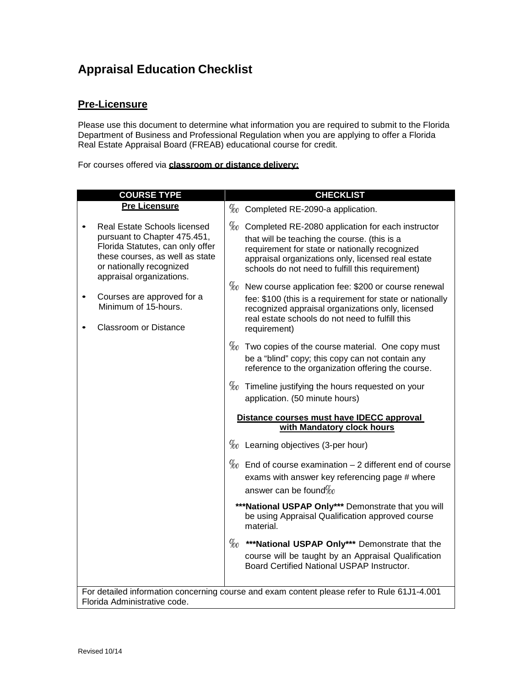### **Appraisal Education Checklist**

#### **Pre-Licensure**

Please use this document to determine what information you are required to submit to the Florida Department of Business and Professional Regulation when you are applying to offer a Florida Real Estate Appraisal Board (FREAB) educational course for credit.

For courses offered via **classroom or distance delivery:**

| <b>COURSE TYPE</b>                                                                                                                                                                                 |                                                                         | <b>CHECKLIST</b>                                                                                                                                                                                                                                                   |  |  |  |
|----------------------------------------------------------------------------------------------------------------------------------------------------------------------------------------------------|-------------------------------------------------------------------------|--------------------------------------------------------------------------------------------------------------------------------------------------------------------------------------------------------------------------------------------------------------------|--|--|--|
| <b>Pre Licensure</b>                                                                                                                                                                               |                                                                         | $\%$ Completed RE-2090-a application.                                                                                                                                                                                                                              |  |  |  |
| <b>Real Estate Schools licensed</b><br>pursuant to Chapter 475.451,<br>Florida Statutes, can only offer<br>these courses, as well as state<br>or nationally recognized<br>appraisal organizations. |                                                                         | $\%$ Completed RE-2080 application for each instructor<br>that will be teaching the course. (this is a<br>requirement for state or nationally recognized<br>appraisal organizations only, licensed real estate<br>schools do not need to fulfill this requirement) |  |  |  |
| Courses are approved for a<br>Minimum of 15-hours.<br><b>Classroom or Distance</b>                                                                                                                 |                                                                         | $\%$ New course application fee: \$200 or course renewal<br>fee: \$100 (this is a requirement for state or nationally<br>recognized appraisal organizations only, licensed<br>real estate schools do not need to fulfill this<br>requirement)                      |  |  |  |
|                                                                                                                                                                                                    |                                                                         | $\%$ Two copies of the course material. One copy must<br>be a "blind" copy; this copy can not contain any<br>reference to the organization offering the course.                                                                                                    |  |  |  |
|                                                                                                                                                                                                    |                                                                         | $\%$ Timeline justifying the hours requested on your<br>application. (50 minute hours)                                                                                                                                                                             |  |  |  |
|                                                                                                                                                                                                    | Distance courses must have IDECC approval<br>with Mandatory clock hours |                                                                                                                                                                                                                                                                    |  |  |  |
|                                                                                                                                                                                                    |                                                                         | $\%$ Learning objectives (3-per hour)                                                                                                                                                                                                                              |  |  |  |
|                                                                                                                                                                                                    |                                                                         | $\%$ End of course examination – 2 different end of course<br>exams with answer key referencing page # where<br>answer can be found $\%$                                                                                                                           |  |  |  |
|                                                                                                                                                                                                    |                                                                         | *** National USPAP Only*** Demonstrate that you will<br>be using Appraisal Qualification approved course<br>material.                                                                                                                                              |  |  |  |
|                                                                                                                                                                                                    |                                                                         | $\%$ ***National USPAP Only*** Demonstrate that the<br>course will be taught by an Appraisal Qualification<br>Board Certified National USPAP Instructor.                                                                                                           |  |  |  |
| For detailed information concerning course and exam content please refer to Rule 61J1-4.001                                                                                                        |                                                                         |                                                                                                                                                                                                                                                                    |  |  |  |

Florida Administrative code.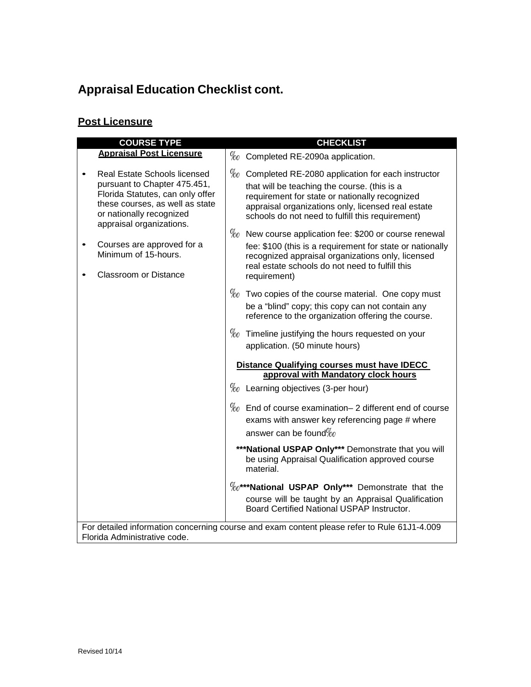## **Appraisal Education Checklist cont.**

#### **Post Licensure**

| <b>COURSE TYPE</b>                                                                                                                                                                          |  | <b>CHECKLIST</b>                                                                                                                                                                                                                                                   |  |  |  |
|---------------------------------------------------------------------------------------------------------------------------------------------------------------------------------------------|--|--------------------------------------------------------------------------------------------------------------------------------------------------------------------------------------------------------------------------------------------------------------------|--|--|--|
| <b>Appraisal Post Licensure</b>                                                                                                                                                             |  | $\%$ Completed RE-2090a application.                                                                                                                                                                                                                               |  |  |  |
| Real Estate Schools licensed<br>pursuant to Chapter 475.451,<br>Florida Statutes, can only offer<br>these courses, as well as state<br>or nationally recognized<br>appraisal organizations. |  | $\%$ Completed RE-2080 application for each instructor<br>that will be teaching the course. (this is a<br>requirement for state or nationally recognized<br>appraisal organizations only, licensed real estate<br>schools do not need to fulfill this requirement) |  |  |  |
| Courses are approved for a<br>Minimum of 15-hours.<br><b>Classroom or Distance</b>                                                                                                          |  | $\%$ New course application fee: \$200 or course renewal<br>fee: \$100 (this is a requirement for state or nationally<br>recognized appraisal organizations only, licensed<br>real estate schools do not need to fulfill this<br>requirement)                      |  |  |  |
|                                                                                                                                                                                             |  | $\%$ Two copies of the course material. One copy must<br>be a "blind" copy; this copy can not contain any<br>reference to the organization offering the course.                                                                                                    |  |  |  |
|                                                                                                                                                                                             |  | $\%$ Timeline justifying the hours requested on your<br>application. (50 minute hours)                                                                                                                                                                             |  |  |  |
|                                                                                                                                                                                             |  | Distance Qualifying courses must have IDECC                                                                                                                                                                                                                        |  |  |  |
|                                                                                                                                                                                             |  | approval with Mandatory clock hours<br>$\%$ Learning objectives (3-per hour)                                                                                                                                                                                       |  |  |  |
|                                                                                                                                                                                             |  | $\%$ End of course examination– 2 different end of course<br>exams with answer key referencing page # where<br>answer can be found $\%$                                                                                                                            |  |  |  |
|                                                                                                                                                                                             |  | *** National USPAP Only*** Demonstrate that you will<br>be using Appraisal Qualification approved course<br>material.                                                                                                                                              |  |  |  |
|                                                                                                                                                                                             |  | $\%$ <sup>***</sup> National USPAP Only*** Demonstrate that the<br>course will be taught by an Appraisal Qualification<br>Board Certified National USPAP Instructor.                                                                                               |  |  |  |
| For detailed information concerning course and exam content please refer to Rule 61J1-4.009                                                                                                 |  |                                                                                                                                                                                                                                                                    |  |  |  |

Florida Administrative code.